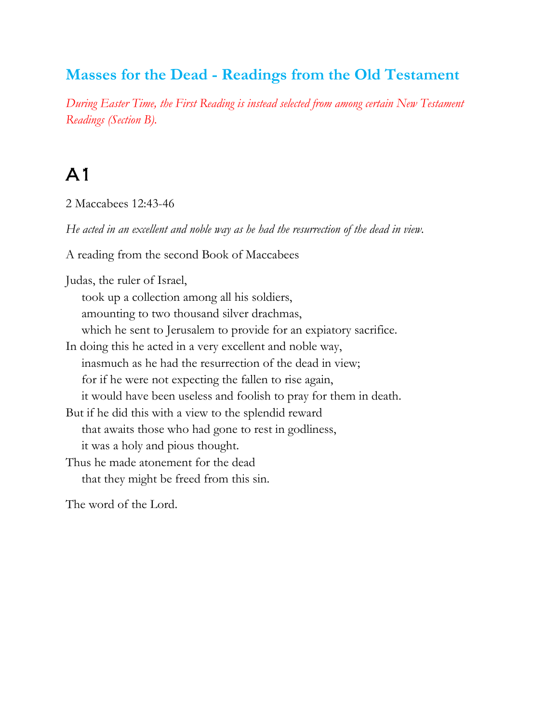#### **Masses for the Dead - Readings from the Old Testament**

*During Easter Time, the First Reading is instead selected from among certain New Testament Readings (Section B).*

#### A1

2 Maccabees 12:43-46

*He acted in an excellent and noble way as he had the resurrection of the dead in view.*

A reading from the second Book of Maccabees

Judas, the ruler of Israel, took up a collection among all his soldiers, amounting to two thousand silver drachmas, which he sent to Jerusalem to provide for an expiatory sacrifice. In doing this he acted in a very excellent and noble way, inasmuch as he had the resurrection of the dead in view; for if he were not expecting the fallen to rise again, it would have been useless and foolish to pray for them in death. But if he did this with a view to the splendid reward that awaits those who had gone to rest in godliness, it was a holy and pious thought. Thus he made atonement for the dead that they might be freed from this sin.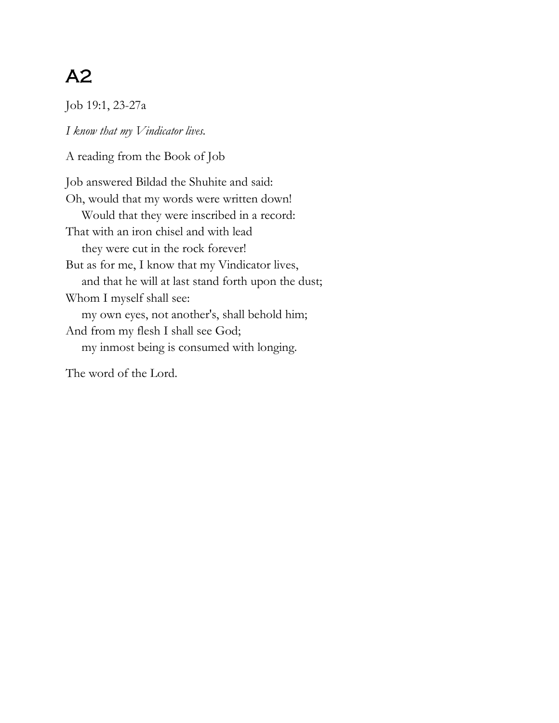Job 19:1, 23-27a

*I know that my Vindicator lives.*

A reading from the Book of Job

Job answered Bildad the Shuhite and said: Oh, would that my words were written down! Would that they were inscribed in a record: That with an iron chisel and with lead they were cut in the rock forever! But as for me, I know that my Vindicator lives, and that he will at last stand forth upon the dust; Whom I myself shall see: my own eyes, not another's, shall behold him; And from my flesh I shall see God; my inmost being is consumed with longing.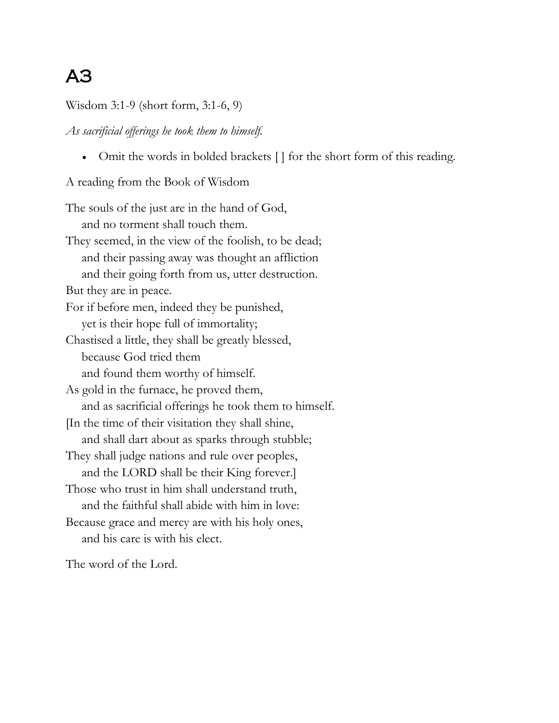Wisdom 3:1-9 (short form, 3:1-6, 9)

*As sacrificial offerings he took them to himself.*

• Omit the words in bolded brackets [] for the short form of this reading.

A reading from the Book of Wisdom

The souls of the just are in the hand of God, and no torment shall touch them. They seemed, in the view of the foolish, to be dead; and their passing away was thought an affliction and their going forth from us, utter destruction. But they are in peace. For if before men, indeed they be punished, yet is their hope full of immortality; Chastised a little, they shall be greatly blessed, because God tried them and found them worthy of himself. As gold in the furnace, he proved them, and as sacrificial offerings he took them to himself. [In the time of their visitation they shall shine, and shall dart about as sparks through stubble; They shall judge nations and rule over peoples, and the LORD shall be their King forever.] Those who trust in him shall understand truth, and the faithful shall abide with him in love: Because grace and mercy are with his holy ones, and his care is with his elect.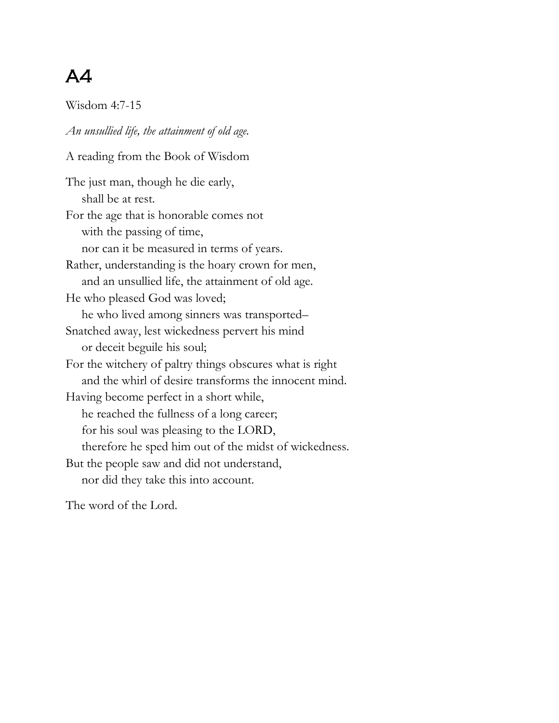Wisdom 4:7-15

*An unsullied life, the attainment of old age.* A reading from the Book of Wisdom The just man, though he die early, shall be at rest. For the age that is honorable comes not with the passing of time, nor can it be measured in terms of years. Rather, understanding is the hoary crown for men, and an unsullied life, the attainment of old age. He who pleased God was loved; he who lived among sinners was transported– Snatched away, lest wickedness pervert his mind or deceit beguile his soul; For the witchery of paltry things obscures what is right and the whirl of desire transforms the innocent mind. Having become perfect in a short while, he reached the fullness of a long career; for his soul was pleasing to the LORD, therefore he sped him out of the midst of wickedness. But the people saw and did not understand, nor did they take this into account.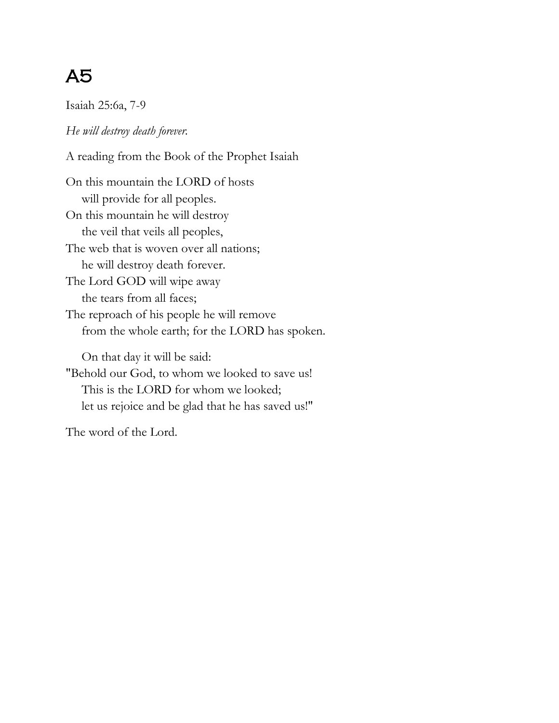Isaiah 25:6a, 7-9

*He will destroy death forever.*

A reading from the Book of the Prophet Isaiah

On this mountain the LORD of hosts will provide for all peoples. On this mountain he will destroy the veil that veils all peoples, The web that is woven over all nations; he will destroy death forever. The Lord GOD will wipe away the tears from all faces; The reproach of his people he will remove from the whole earth; for the LORD has spoken.

 On that day it will be said: "Behold our God, to whom we looked to save us! This is the LORD for whom we looked; let us rejoice and be glad that he has saved us!"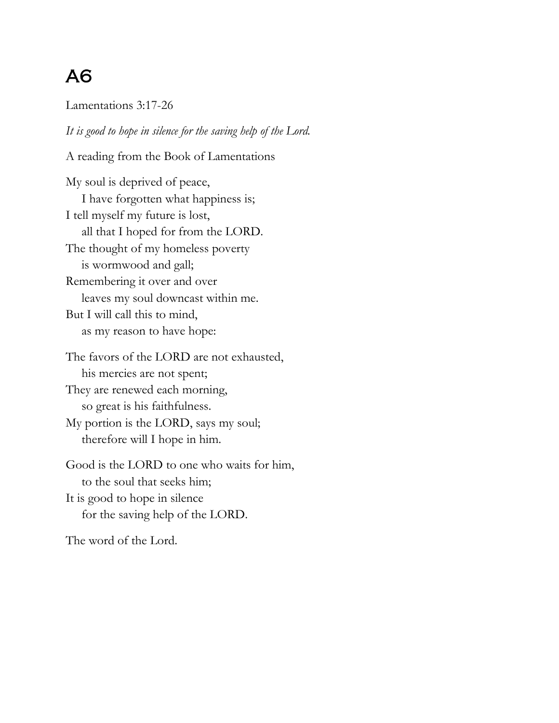Lamentations 3:17-26

*It is good to hope in silence for the saving help of the Lord.*

A reading from the Book of Lamentations

My soul is deprived of peace, I have forgotten what happiness is; I tell myself my future is lost, all that I hoped for from the LORD. The thought of my homeless poverty is wormwood and gall; Remembering it over and over leaves my soul downcast within me. But I will call this to mind, as my reason to have hope:

The favors of the LORD are not exhausted, his mercies are not spent; They are renewed each morning, so great is his faithfulness. My portion is the LORD, says my soul; therefore will I hope in him.

Good is the LORD to one who waits for him, to the soul that seeks him; It is good to hope in silence for the saving help of the LORD.